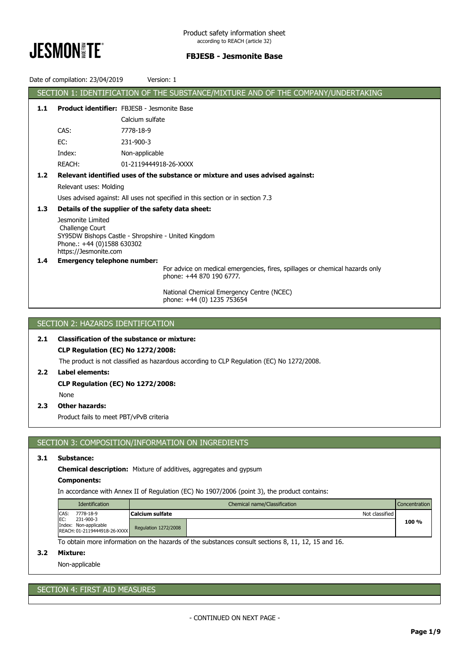

|                                                                        | Date of compilation: 23/04/2019                             | Version: 1                                                                        |  |  |  |  |
|------------------------------------------------------------------------|-------------------------------------------------------------|-----------------------------------------------------------------------------------|--|--|--|--|
|                                                                        |                                                             | SECTION 1: IDENTIFICATION OF THE SUBSTANCE/MIXTURE AND OF THE COMPANY/UNDERTAKING |  |  |  |  |
| 1.1                                                                    |                                                             | <b>Product identifier: FBJESB - Jesmonite Base</b>                                |  |  |  |  |
|                                                                        |                                                             | Calcium sulfate                                                                   |  |  |  |  |
|                                                                        | CAS:                                                        | 7778-18-9                                                                         |  |  |  |  |
|                                                                        | EC:                                                         | 231-900-3                                                                         |  |  |  |  |
|                                                                        | Index:                                                      | Non-applicable                                                                    |  |  |  |  |
|                                                                        | REACH:                                                      | 01-2119444918-26-XXXX                                                             |  |  |  |  |
| 1.2                                                                    |                                                             | Relevant identified uses of the substance or mixture and uses advised against:    |  |  |  |  |
|                                                                        | Relevant uses: Molding                                      |                                                                                   |  |  |  |  |
|                                                                        |                                                             | Uses advised against: All uses not specified in this section or in section 7.3    |  |  |  |  |
| 1.3                                                                    | Details of the supplier of the safety data sheet:           |                                                                                   |  |  |  |  |
|                                                                        | Jesmonite Limited                                           |                                                                                   |  |  |  |  |
| Challenge Court<br>SY95DW Bishops Castle - Shropshire - United Kingdom |                                                             |                                                                                   |  |  |  |  |
|                                                                        | Phone.: +44 (0)1588 630302                                  |                                                                                   |  |  |  |  |
| 1.4                                                                    | https://Jesmonite.com<br><b>Emergency telephone number:</b> |                                                                                   |  |  |  |  |
|                                                                        |                                                             | For advice on medical emergencies, fires, spillages or chemical hazards only      |  |  |  |  |
|                                                                        |                                                             | phone: +44 870 190 6777.                                                          |  |  |  |  |
|                                                                        |                                                             | National Chemical Emergency Centre (NCEC)                                         |  |  |  |  |
|                                                                        |                                                             | phone: +44 (0) 1235 753654                                                        |  |  |  |  |
|                                                                        |                                                             |                                                                                   |  |  |  |  |

# SECTION 2: HAZARDS IDENTIFICATION

# **2.1 Classification of the substance or mixture:**

# **CLP Regulation (EC) No 1272/2008:**

The product is not classified as hazardous according to CLP Regulation (EC) No 1272/2008.

## **2.2 Label elements:**

**CLP Regulation (EC) No 1272/2008:**

## None

## **2.3 Other hazards:**

Product fails to meet PBT/vPvB criteria

# SECTION 3: COMPOSITION/INFORMATION ON INGREDIENTS

## **3.1 Substance:**

**Chemical description:** Mixture of additives, aggregates and gypsum

## **Components:**

In accordance with Annex II of Regulation (EC) No 1907/2006 (point 3), the product contains:

|      | Identification                                                     |                      | Chemical name/Classification | Concentration |
|------|--------------------------------------------------------------------|----------------------|------------------------------|---------------|
| CAS: | 7778-18-9                                                          | Calcium sulfate      | Not classified               |               |
| EC:  | 231-900-3<br>Index: Non-applicable<br>REACH: 01-2119444918-26-XXXX | Regulation 1272/2008 |                              | 100 %         |

To obtain more information on the hazards of the substances consult sections 8, 11, 12, 15 and 16.

## **3.2 Mixture:**

Non-applicable

# SECTION 4: FIRST AID MEASURES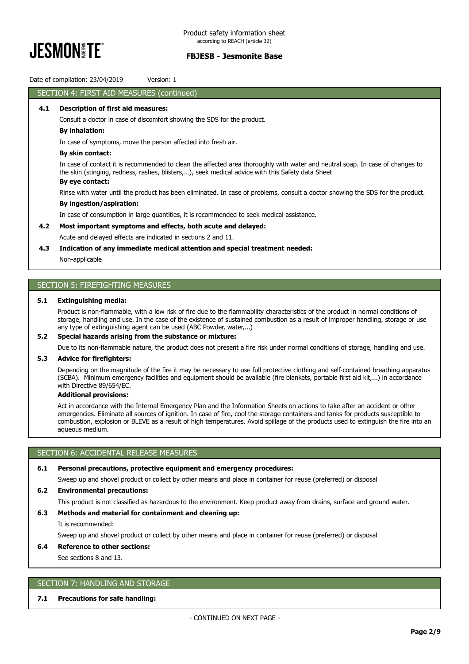

Date of compilation: 23/04/2019 Version: 1

# SECTION 4: FIRST AID MEASURES (continued)

### **4.1 Description of first aid measures:**

Consult a doctor in case of discomfort showing the SDS for the product.

### **By inhalation:**

In case of symptoms, move the person affected into fresh air.

## **By skin contact:**

In case of contact it is recommended to clean the affected area thoroughly with water and neutral soap. In case of changes to the skin (stinging, redness, rashes, blisters,…), seek medical advice with this Safety data Sheet

### **By eye contact:**

Rinse with water until the product has been eliminated. In case of problems, consult a doctor showing the SDS for the product.

### **By ingestion/aspiration:**

In case of consumption in large quantities, it is recommended to seek medical assistance.

### **4.2 Most important symptoms and effects, both acute and delayed:**

Acute and delayed effects are indicated in sections 2 and 11.

### **4.3 Indication of any immediate medical attention and special treatment needed:**

Non-applicable

# SECTION 5: FIREFIGHTING MEASURES

### **5.1 Extinguishing media:**

Product is non-flammable, with a low risk of fire due to the flammabliity characteristics of the product in normal conditions of storage, handling and use. In the case of the existence of sustained combustion as a result of improper handling, storage or use any type of extinguishing agent can be used (ABC Powder, water,...)

### **5.2 Special hazards arising from the substance or mixture:**

Due to its non-flammable nature, the product does not present a fire risk under normal conditions of storage, handling and use.

### **5.3 Advice for firefighters:**

Depending on the magnitude of the fire it may be necessary to use full protective clothing and self-contained breathing apparatus (SCBA). Minimum emergency facilities and equipment should be available (fire blankets, portable first aid kit,...) in accordance with Directive 89/654/EC.

## **Additional provisions:**

Act in accordance with the Internal Emergency Plan and the Information Sheets on actions to take after an accident or other emergencies. Eliminate all sources of ignition. In case of fire, cool the storage containers and tanks for products susceptible to combustion, explosion or BLEVE as a result of high temperatures. Avoid spillage of the products used to extinguish the fire into an aqueous medium.

# SECTION 6: ACCIDENTAL RELEASE MEASURES

## **6.1 Personal precautions, protective equipment and emergency procedures:**

Sweep up and shovel product or collect by other means and place in container for reuse (preferred) or disposal

### **6.2 Environmental precautions:**

This product is not classified as hazardous to the environment. Keep product away from drains, surface and ground water.

## **6.3 Methods and material for containment and cleaning up:**

It is recommended:

Sweep up and shovel product or collect by other means and place in container for reuse (preferred) or disposal

## **6.4 Reference to other sections:**

See sections 8 and 13.

# SECTION 7: HANDLING AND STORAGE

## **7.1 Precautions for safe handling:**

- CONTINUED ON NEXT PAGE -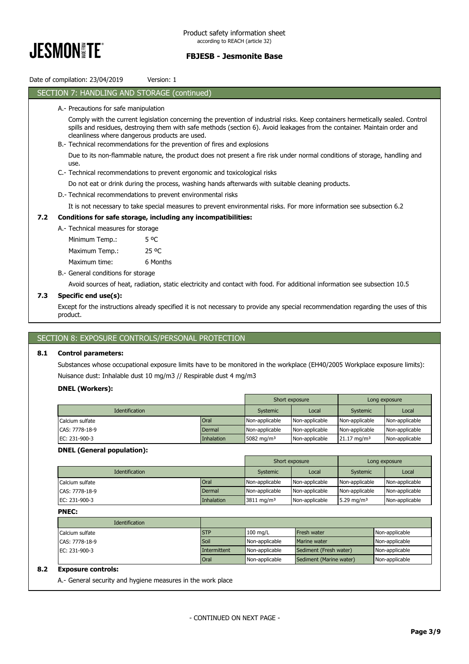

Date of compilation: 23/04/2019 Version: 1

### SECTION 7: HANDLING AND STORAGE (continued)

### A.- Precautions for safe manipulation

Comply with the current legislation concerning the prevention of industrial risks. Keep containers hermetically sealed. Control spills and residues, destroying them with safe methods (section 6). Avoid leakages from the container. Maintain order and cleanliness where dangerous products are used.

B.- Technical recommendations for the prevention of fires and explosions

Due to its non-flammable nature, the product does not present a fire risk under normal conditions of storage, handling and use.

C.- Technical recommendations to prevent ergonomic and toxicological risks

Do not eat or drink during the process, washing hands afterwards with suitable cleaning products.

D.- Technical recommendations to prevent environmental risks

It is not necessary to take special measures to prevent environmental risks. For more information see subsection 6.2

### **7.2 Conditions for safe storage, including any incompatibilities:**

A.- Technical measures for storage

Minimum Temp.: 5 ºC Maximum Temp.: 25 °C

Maximum time: 6 Months

B.- General conditions for storage

Avoid sources of heat, radiation, static electricity and contact with food. For additional information see subsection 10.5

### **7.3 Specific end use(s):**

Except for the instructions already specified it is not necessary to provide any special recommendation regarding the uses of this product.

## SECTION 8: EXPOSURE CONTROLS/PERSONAL PROTECTION

### **8.1 Control parameters:**

Substances whose occupational exposure limits have to be monitored in the workplace (EH40/2005 Workplace exposure limits): Nuisance dust: Inhalable dust 10 mg/m3 // Respirable dust 4 mg/m3

### **DNEL (Workers):**

|                       |             |                        | Short exposure |                        | Long exposure  |
|-----------------------|-------------|------------------------|----------------|------------------------|----------------|
| <b>Identification</b> |             | Systemic               | Local          | Systemic               | Local          |
| Calcium sulfate       | <b>Oral</b> | Non-applicable         | Non-applicable | Non-applicable         | Non-applicable |
| CAS: 7778-18-9        | Dermal      | Non-applicable         | Non-applicable | Non-applicable         | Non-applicable |
| EC: 231-900-3         | Inhalation  | 5082 mg/m <sup>3</sup> | Non-applicable | $21.17 \text{ mg/m}^3$ | Non-applicable |

### **DNEL (General population):**

|                       |             |                       | Short exposure |                        | Long exposure  |
|-----------------------|-------------|-----------------------|----------------|------------------------|----------------|
| <b>Identification</b> |             | Systemic              | Local          | Systemic               | Local          |
| Calcium sulfate       | <b>Oral</b> | Non-applicable        | Non-applicable | Non-applicable         | Non-applicable |
| CAS: 7778-18-9        | Dermal      | Non-applicable        | Non-applicable | Non-applicable         | Non-applicable |
| EC: 231-900-3         | Inhalation  | $3811 \text{ mg/m}^3$ | Non-applicable | 5.29 mg/m <sup>3</sup> | Non-applicable |

### **PNEC:**

| <b>Identification</b> |              |                |                         |                |
|-----------------------|--------------|----------------|-------------------------|----------------|
| Calcium sulfate       | <b>STP</b>   | $100$ mg/L     | <b>Fresh water</b>      | Non-applicable |
| CAS: 7778-18-9        | Soil         | Non-applicable | <b>Marine water</b>     | Non-applicable |
| EC: 231-900-3         | Intermittent | Non-applicable | Sediment (Fresh water)  | Non-applicable |
|                       | Oral         | Non-applicable | Sediment (Marine water) | Non-applicable |

## **8.2 Exposure controls:**

A.- General security and hygiene measures in the work place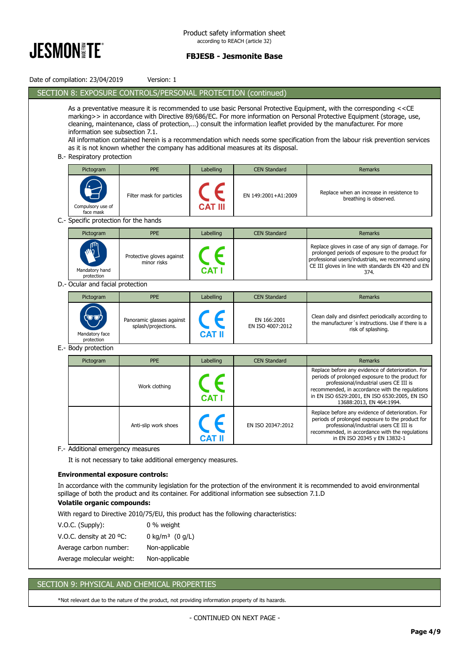

| Date of compilation: 23/04/2019         | Version: 1                                                                                                                                                                                                                                                                                                                                                                                                                                                                                                                                                                                                                                                                   |               |                                 |                                                                                                                                                                                                                                                                                  |  |  |  |  |
|-----------------------------------------|------------------------------------------------------------------------------------------------------------------------------------------------------------------------------------------------------------------------------------------------------------------------------------------------------------------------------------------------------------------------------------------------------------------------------------------------------------------------------------------------------------------------------------------------------------------------------------------------------------------------------------------------------------------------------|---------------|---------------------------------|----------------------------------------------------------------------------------------------------------------------------------------------------------------------------------------------------------------------------------------------------------------------------------|--|--|--|--|
|                                         | SECTION 8: EXPOSURE CONTROLS/PERSONAL PROTECTION (continued)                                                                                                                                                                                                                                                                                                                                                                                                                                                                                                                                                                                                                 |               |                                 |                                                                                                                                                                                                                                                                                  |  |  |  |  |
|                                         | As a preventative measure it is recommended to use basic Personal Protective Equipment, with the corresponding < <ce<br>marking&gt;&gt; in accordance with Directive 89/686/EC. For more information on Personal Protective Equipment (storage, use,<br/>cleaning, maintenance, class of protection,) consult the information leaflet provided by the manufacturer. For more<br/>information see subsection 7.1.<br/>All information contained herein is a recommendation which needs some specification from the labour risk prevention services<br/>as it is not known whether the company has additional measures at its disposal.<br/>B.- Respiratory protection</ce<br> |               |                                 |                                                                                                                                                                                                                                                                                  |  |  |  |  |
| Pictogram                               | <b>PPE</b>                                                                                                                                                                                                                                                                                                                                                                                                                                                                                                                                                                                                                                                                   | Labelling     | <b>CEN Standard</b>             | <b>Remarks</b>                                                                                                                                                                                                                                                                   |  |  |  |  |
| Compulsory use of<br>face mask          | Filter mask for particles                                                                                                                                                                                                                                                                                                                                                                                                                                                                                                                                                                                                                                                    |               | EN 149:2001+A1:2009             | Replace when an increase in resistence to<br>breathing is observed.                                                                                                                                                                                                              |  |  |  |  |
| C.- Specific protection for the hands   |                                                                                                                                                                                                                                                                                                                                                                                                                                                                                                                                                                                                                                                                              |               |                                 |                                                                                                                                                                                                                                                                                  |  |  |  |  |
| Pictogram                               | <b>PPE</b>                                                                                                                                                                                                                                                                                                                                                                                                                                                                                                                                                                                                                                                                   | Labelling     | <b>CEN Standard</b>             | Remarks                                                                                                                                                                                                                                                                          |  |  |  |  |
| Mandatory hand<br>protection            | Protective gloves against<br>minor risks                                                                                                                                                                                                                                                                                                                                                                                                                                                                                                                                                                                                                                     |               |                                 | Replace gloves in case of any sign of damage. For<br>prolonged periods of exposure to the product for<br>professional users/industrials, we recommend using<br>CE III gloves in line with standards EN 420 and EN<br>374.                                                        |  |  |  |  |
| D.- Ocular and facial protection        |                                                                                                                                                                                                                                                                                                                                                                                                                                                                                                                                                                                                                                                                              |               |                                 |                                                                                                                                                                                                                                                                                  |  |  |  |  |
| Pictogram                               | <b>PPE</b>                                                                                                                                                                                                                                                                                                                                                                                                                                                                                                                                                                                                                                                                   | Labelling     | <b>CEN Standard</b>             | Remarks                                                                                                                                                                                                                                                                          |  |  |  |  |
| Mandatory face<br>protection            | Panoramic glasses against<br>splash/projections.                                                                                                                                                                                                                                                                                                                                                                                                                                                                                                                                                                                                                             | CAT II        | EN 166:2001<br>EN ISO 4007:2012 | Clean daily and disinfect periodically according to<br>the manufacturer's instructions. Use if there is a<br>risk of splashing.                                                                                                                                                  |  |  |  |  |
| E.- Body protection                     |                                                                                                                                                                                                                                                                                                                                                                                                                                                                                                                                                                                                                                                                              |               |                                 |                                                                                                                                                                                                                                                                                  |  |  |  |  |
| Pictogram                               | <b>PPE</b>                                                                                                                                                                                                                                                                                                                                                                                                                                                                                                                                                                                                                                                                   | Labelling     | <b>CEN Standard</b>             | Remarks                                                                                                                                                                                                                                                                          |  |  |  |  |
|                                         | Work clothing                                                                                                                                                                                                                                                                                                                                                                                                                                                                                                                                                                                                                                                                |               |                                 | Replace before any evidence of deterioration. For<br>periods of prolonged exposure to the product for<br>professional/industrial users CE III is<br>recommended, in accordance with the regulations<br>in EN ISO 6529:2001, EN ISO 6530:2005, EN ISO<br>13688:2013, EN 464:1994. |  |  |  |  |
|                                         | Anti-slip work shoes                                                                                                                                                                                                                                                                                                                                                                                                                                                                                                                                                                                                                                                         | <b>CAT II</b> | EN ISO 20347:2012               | Replace before any evidence of deterioration. For<br>periods of prolonged exposure to the product for<br>professional/industrial users CE III is<br>recommended, in accordance with the regulations<br>in EN ISO 20345 y EN 13832-1                                              |  |  |  |  |
| F.- Additional emergency measures       |                                                                                                                                                                                                                                                                                                                                                                                                                                                                                                                                                                                                                                                                              |               |                                 |                                                                                                                                                                                                                                                                                  |  |  |  |  |
|                                         | It is not necessary to take additional emergency measures.                                                                                                                                                                                                                                                                                                                                                                                                                                                                                                                                                                                                                   |               |                                 |                                                                                                                                                                                                                                                                                  |  |  |  |  |
| <b>Environmental exposure controls:</b> |                                                                                                                                                                                                                                                                                                                                                                                                                                                                                                                                                                                                                                                                              |               |                                 |                                                                                                                                                                                                                                                                                  |  |  |  |  |
| <b>Volatile organic compounds:</b>      | spillage of both the product and its container. For additional information see subsection 7.1.D                                                                                                                                                                                                                                                                                                                                                                                                                                                                                                                                                                              |               |                                 | In accordance with the community legislation for the protection of the environment it is recommended to avoid environmental                                                                                                                                                      |  |  |  |  |
|                                         | With regard to Directive 2010/75/EU, this product has the following characteristics:                                                                                                                                                                                                                                                                                                                                                                                                                                                                                                                                                                                         |               |                                 |                                                                                                                                                                                                                                                                                  |  |  |  |  |
| V.O.C. (Supply):                        | 0 % weight                                                                                                                                                                                                                                                                                                                                                                                                                                                                                                                                                                                                                                                                   |               |                                 |                                                                                                                                                                                                                                                                                  |  |  |  |  |
| V.O.C. density at 20 °C:                | 0 kg/m <sup>3</sup> $(0 g/L)$                                                                                                                                                                                                                                                                                                                                                                                                                                                                                                                                                                                                                                                |               |                                 |                                                                                                                                                                                                                                                                                  |  |  |  |  |
| Average carbon number:                  | Non-applicable                                                                                                                                                                                                                                                                                                                                                                                                                                                                                                                                                                                                                                                               |               |                                 |                                                                                                                                                                                                                                                                                  |  |  |  |  |
| Average molecular weight:               | Non-applicable                                                                                                                                                                                                                                                                                                                                                                                                                                                                                                                                                                                                                                                               |               |                                 |                                                                                                                                                                                                                                                                                  |  |  |  |  |

# SECTION 9: PHYSICAL AND CHEMICAL PROPERTIES

\*Not relevant due to the nature of the product, not providing information property of its hazards.

- CONTINUED ON NEXT PAGE -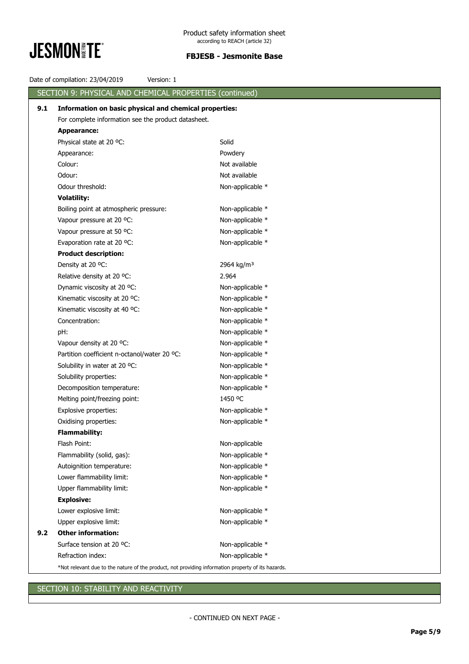

|     | Date of compilation: 23/04/2019<br>Version: 1                                                      |                        |  |  |  |  |
|-----|----------------------------------------------------------------------------------------------------|------------------------|--|--|--|--|
|     | SECTION 9: PHYSICAL AND CHEMICAL PROPERTIES (continued)                                            |                        |  |  |  |  |
| 9.1 | Information on basic physical and chemical properties:                                             |                        |  |  |  |  |
|     | For complete information see the product datasheet.                                                |                        |  |  |  |  |
|     | Appearance:                                                                                        |                        |  |  |  |  |
|     | Physical state at 20 °C:                                                                           | Solid                  |  |  |  |  |
|     | Appearance:                                                                                        | Powdery                |  |  |  |  |
|     | Colour:                                                                                            | Not available          |  |  |  |  |
|     | Odour:                                                                                             | Not available          |  |  |  |  |
|     | Odour threshold:                                                                                   | Non-applicable *       |  |  |  |  |
|     | <b>Volatility:</b>                                                                                 |                        |  |  |  |  |
|     | Boiling point at atmospheric pressure:                                                             | Non-applicable *       |  |  |  |  |
|     | Vapour pressure at 20 °C:                                                                          | Non-applicable *       |  |  |  |  |
|     | Vapour pressure at 50 °C:                                                                          | Non-applicable *       |  |  |  |  |
|     | Evaporation rate at 20 °C:                                                                         | Non-applicable *       |  |  |  |  |
|     | <b>Product description:</b>                                                                        |                        |  |  |  |  |
|     | Density at 20 °C:                                                                                  | 2964 kg/m <sup>3</sup> |  |  |  |  |
|     | Relative density at 20 °C:                                                                         | 2.964                  |  |  |  |  |
|     | Dynamic viscosity at 20 °C:                                                                        | Non-applicable *       |  |  |  |  |
|     | Kinematic viscosity at 20 °C:                                                                      | Non-applicable *       |  |  |  |  |
|     | Kinematic viscosity at 40 °C:                                                                      | Non-applicable *       |  |  |  |  |
|     | Concentration:                                                                                     | Non-applicable *       |  |  |  |  |
|     | pH:                                                                                                | Non-applicable *       |  |  |  |  |
|     | Vapour density at 20 °C:                                                                           | Non-applicable *       |  |  |  |  |
|     | Partition coefficient n-octanol/water 20 °C:                                                       | Non-applicable *       |  |  |  |  |
|     | Solubility in water at 20 °C:                                                                      | Non-applicable *       |  |  |  |  |
|     | Solubility properties:                                                                             | Non-applicable *       |  |  |  |  |
|     | Decomposition temperature:                                                                         | Non-applicable *       |  |  |  |  |
|     | Melting point/freezing point:                                                                      | 1450 °C                |  |  |  |  |
|     | Explosive properties:                                                                              | Non-applicable *       |  |  |  |  |
|     | Oxidising properties:                                                                              | Non-applicable *       |  |  |  |  |
|     | <b>Flammability:</b>                                                                               |                        |  |  |  |  |
|     | Flash Point:                                                                                       | Non-applicable         |  |  |  |  |
|     | Flammability (solid, gas):                                                                         | Non-applicable *       |  |  |  |  |
|     | Autoignition temperature:                                                                          | Non-applicable *       |  |  |  |  |
|     | Lower flammability limit:                                                                          | Non-applicable *       |  |  |  |  |
|     | Upper flammability limit:                                                                          | Non-applicable *       |  |  |  |  |
|     | <b>Explosive:</b>                                                                                  |                        |  |  |  |  |
|     | Lower explosive limit:                                                                             | Non-applicable *       |  |  |  |  |
|     | Upper explosive limit:                                                                             | Non-applicable *       |  |  |  |  |
| 9.2 | <b>Other information:</b><br>Surface tension at 20 °C:                                             |                        |  |  |  |  |
|     |                                                                                                    | Non-applicable *       |  |  |  |  |
|     | Refraction index:                                                                                  | Non-applicable *       |  |  |  |  |
|     | *Not relevant due to the nature of the product, not providing information property of its hazards. |                        |  |  |  |  |

# SECTION 10: STABILITY AND REACTIVITY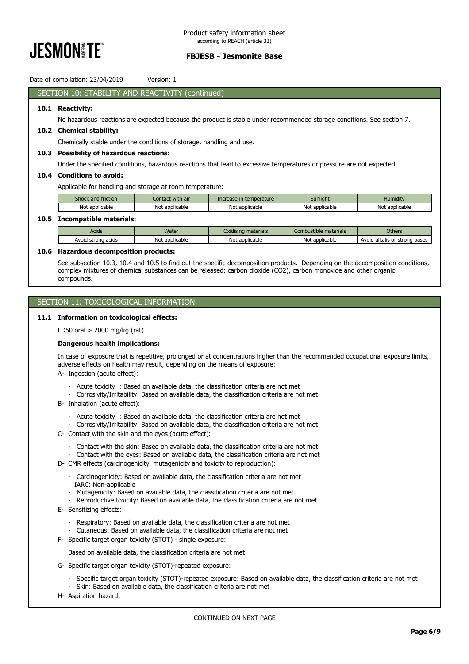

Date of compilation: 23/04/2019 Version: 1

## SECTION 10: STABILITY AND REACTIVITY (continued)

### **10.1 Reactivity:**

No hazardous reactions are expected because the product is stable under recommended storage conditions. See section 7.

### **10.2 Chemical stability:**

Chemically stable under the conditions of storage, handling and use.

### **10.3 Possibility of hazardous reactions:**

Under the specified conditions, hazardous reactions that lead to excessive temperatures or pressure are not expected.

## **10.4 Conditions to avoid:**

Applicable for handling and storage at room temperature:

| Shock and friction | with air<br>:ontact | Increase in temperature | Sunliaht            | Humidity       |
|--------------------|---------------------|-------------------------|---------------------|----------------|
| Not applicable     | Not<br>: applicable | Not applicable          | Not<br>: applicable | Not applicable |
|                    |                     |                         |                     |                |

### **10.5 Incompatible materials:**

| <b>Acids</b>             | Water               | materials<br>Jxidising | materials<br>Combustible | Others                                    |
|--------------------------|---------------------|------------------------|--------------------------|-------------------------------------------|
| Avoid<br>strona<br>acids | Nοι<br>: applicable | Not<br>: applicable    | Not applicable           | trong bases<br>Avoid<br>l alkalis or<br>. |

### **10.6 Hazardous decomposition products:**

See subsection 10.3, 10.4 and 10.5 to find out the specific decomposition products. Depending on the decomposition conditions, complex mixtures of chemical substances can be released: carbon dioxide (CO2), carbon monoxide and other organic compounds.

## SECTION 11: TOXICOLOGICAL INFORMATION

### **11.1 Information on toxicological effects:**

LD50 oral > 2000 mg/kg (rat)

### **Dangerous health implications:**

In case of exposure that is repetitive, prolonged or at concentrations higher than the recommended occupational exposure limits, adverse effects on health may result, depending on the means of exposure:

- A- Ingestion (acute effect):
	- Acute toxicity : Based on available data, the classification criteria are not met
	- Corrosivity/Irritability: Based on available data, the classification criteria are not met
- B- Inhalation (acute effect):
	- Acute toxicity : Based on available data, the classification criteria are not met
	- Corrosivity/Irritability: Based on available data, the classification criteria are not met
- C- Contact with the skin and the eyes (acute effect):
	- Contact with the skin: Based on available data, the classification criteria are not met
	- Contact with the eyes: Based on available data, the classification criteria are not met
- D- CMR effects (carcinogenicity, mutagenicity and toxicity to reproduction):
	- Carcinogenicity: Based on available data, the classification criteria are not met IARC: Non-applicable
	- Mutagenicity: Based on available data, the classification criteria are not met
	- Reproductive toxicity: Based on available data, the classification criteria are not met
- E- Sensitizing effects:
	- Respiratory: Based on available data, the classification criteria are not met
	- Cutaneous: Based on available data, the classification criteria are not met
- F- Specific target organ toxicity (STOT) single exposure:

Based on available data, the classification criteria are not met

- G- Specific target organ toxicity (STOT)-repeated exposure:
	- Specific target organ toxicity (STOT)-repeated exposure: Based on available data, the classification criteria are not met
	- Skin: Based on available data, the classification criteria are not met
- H- Aspiration hazard: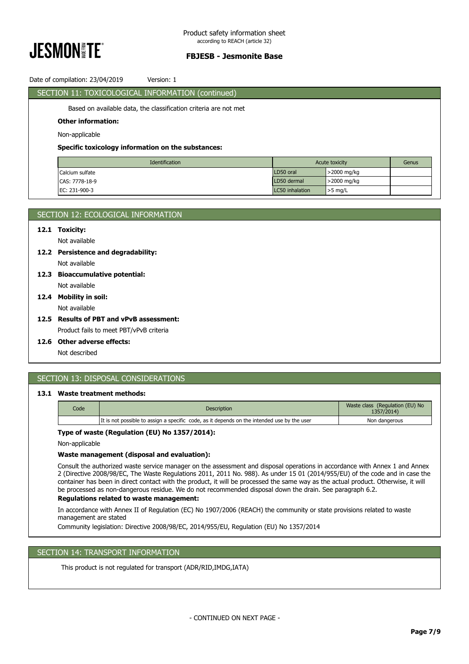

## Date of compilation: 23/04/2019 Version: 1

| SECTION 11: TOXICOLOGICAL INFORMATION (continued)                |             |                |       |
|------------------------------------------------------------------|-------------|----------------|-------|
| Based on available data, the classification criteria are not met |             |                |       |
| <b>Other information:</b>                                        |             |                |       |
| Non-applicable                                                   |             |                |       |
| Specific toxicology information on the substances:               |             |                |       |
| Identification                                                   |             | Acute toxicity | Genus |
| Calcium sulfate                                                  | LD50 oral   | >2000 mg/kg    |       |
|                                                                  |             |                |       |
| CAS: 7778-18-9                                                   | LD50 dermal | >2000 mg/kg    |       |

| SECTION 12: ECOLOGICAL INFORMATION  |
|-------------------------------------|
| 12.1 Toxicity:                      |
| Not available                       |
| 12.2 Persistence and degradability: |
| Not available                       |
| 12.3 Bioaccumulative potential:     |

## Not available **12.4 Mobility in soil:**

Not available

## **12.5 Results of PBT and vPvB assessment:**

Product fails to meet PBT/vPvB criteria

# **12.6 Other adverse effects:**

Not described

# SECTION 13: DISPOSAL CONSIDERATIONS

## **13.1 Waste treatment methods:**

| Code | <b>Description</b>                                                                          | Waste class (Regulation (EU) No<br>1357/2014) |
|------|---------------------------------------------------------------------------------------------|-----------------------------------------------|
|      | It is not possible to assign a specific code, as it depends on the intended use by the user | Non dangerous                                 |

### **Type of waste (Regulation (EU) No 1357/2014):**

Non-applicable

# **Waste management (disposal and evaluation):**

Consult the authorized waste service manager on the assessment and disposal operations in accordance with Annex 1 and Annex 2 (Directive 2008/98/EC, The Waste Regulations 2011, 2011 No. 988). As under 15 01 (2014/955/EU) of the code and in case the container has been in direct contact with the product, it will be processed the same way as the actual product. Otherwise, it will be processed as non-dangerous residue. We do not recommended disposal down the drain. See paragraph 6.2.

## **Regulations related to waste management:**

In accordance with Annex II of Regulation (EC) No 1907/2006 (REACH) the community or state provisions related to waste management are stated

Community legislation: Directive 2008/98/EC, 2014/955/EU, Regulation (EU) No 1357/2014

# SECTION 14: TRANSPORT INFORMATION

This product is not regulated for transport (ADR/RID,IMDG,IATA)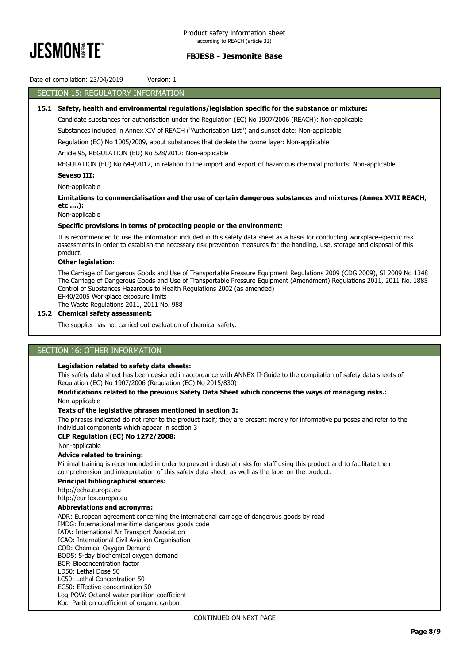

## Date of compilation: 23/04/2019 Version: 1

# SECTION 15: REGULATORY INFORMATION

## **15.1 Safety, health and environmental regulations/legislation specific for the substance or mixture:**

Candidate substances for authorisation under the Regulation (EC) No 1907/2006 (REACH): Non-applicable

Substances included in Annex XIV of REACH ("Authorisation List") and sunset date: Non-applicable

Regulation (EC) No 1005/2009, about substances that deplete the ozone layer: Non-applicable

Article 95, REGULATION (EU) No 528/2012: Non-applicable

REGULATION (EU) No 649/2012, in relation to the import and export of hazardous chemical products: Non-applicable

### **Seveso III:**

Non-applicable

**Limitations to commercialisation and the use of certain dangerous substances and mixtures (Annex XVII REACH, etc ….):**

Non-applicable

### **Specific provisions in terms of protecting people or the environment:**

It is recommended to use the information included in this safety data sheet as a basis for conducting workplace-specific risk assessments in order to establish the necessary risk prevention measures for the handling, use, storage and disposal of this product.

### **Other legislation:**

The Carriage of Dangerous Goods and Use of Transportable Pressure Equipment Regulations 2009 (CDG 2009), SI 2009 No 1348 The Carriage of Dangerous Goods and Use of Transportable Pressure Equipment (Amendment) Regulations 2011, 2011 No. 1885 Control of Substances Hazardous to Health Regulations 2002 (as amended) EH40/2005 Workplace exposure limits

The Waste Regulations 2011, 2011 No. 988

## **15.2 Chemical safety assessment:**

The supplier has not carried out evaluation of chemical safety.

## SECTION 16: OTHER INFORMATION

### **Legislation related to safety data sheets:**

This safety data sheet has been designed in accordance with ANNEX II-Guide to the compilation of safety data sheets of Regulation (EC) No 1907/2006 (Regulation (EC) No 2015/830)

### **Modifications related to the previous Safety Data Sheet which concerns the ways of managing risks.:** Non-applicable

### **Texts of the legislative phrases mentioned in section 3:**

The phrases indicated do not refer to the product itself; they are present merely for informative purposes and refer to the individual components which appear in section 3

### **CLP Regulation (EC) No 1272/2008:**

Non-applicable

### **Advice related to training:**

Minimal training is recommended in order to prevent industrial risks for staff using this product and to facilitate their comprehension and interpretation of this safety data sheet, as well as the label on the product.

### **Principal bibliographical sources:**

http://echa.europa.eu

http://eur-lex.europa.eu

# **Abbreviations and acronyms:**

ADR: European agreement concerning the international carriage of dangerous goods by road

IMDG: International maritime dangerous goods code

IATA: International Air Transport Association

ICAO: International Civil Aviation Organisation

COD: Chemical Oxygen Demand

BOD5: 5-day biochemical oxygen demand BCF: Bioconcentration factor

LD50: Lethal Dose 50

LC50: Lethal Concentration 50

EC50: Effective concentration 50

Log-POW: Octanol-water partition coefficient

Koc: Partition coefficient of organic carbon